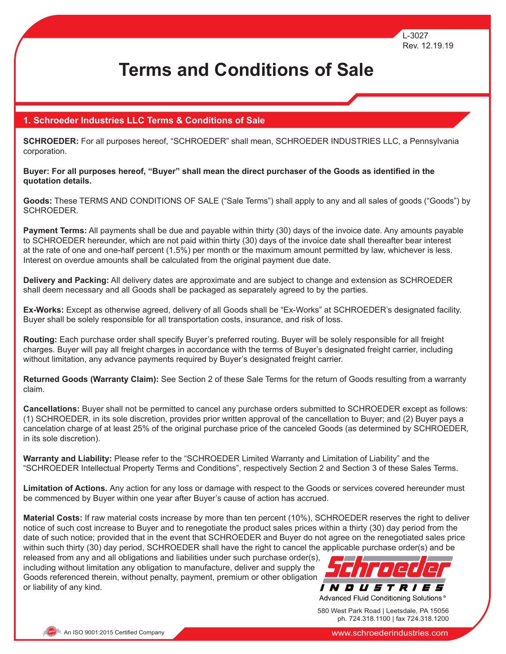# **Terms and Conditions of Sale**

### **1. Schroeder Industries LLC Terms & Conditions of Sale**

**SCHROEDER:** For all purposes hereof, "SCHROEDER" shall mean, SCHROEDER INDUSTRIES LLC, a Pennsylvania corporation.

**Buyer: For all purposes hereof, "Buyer" shall mean the direct purchaser of the Goods as identified in the quotation details.**

**Goods:** These TERMS AND CONDITIONS OF SALE ("Sale Terms") shall apply to any and all sales of goods ("Goods") by SCHROEDER.

**Payment Terms:** All payments shall be due and payable within thirty (30) days of the invoice date. Any amounts payable to SCHROEDER hereunder, which are not paid within thirty (30) days of the invoice date shall thereafter bear interest at the rate of one and one-half percent (1.5%) per month or the maximum amount permitted by law, whichever is less. Interest on overdue amounts shall be calculated from the original payment due date.

**Delivery and Packing:** All delivery dates are approximate and are subject to change and extension as SCHROEDER shall deem necessary and all Goods shall be packaged as separately agreed to by the parties.

**Ex-Works:** Except as otherwise agreed, delivery of all Goods shall be "Ex-Works" at SCHROEDER's designated facility. Buyer shall be solely responsible for all transportation costs, insurance, and risk of loss.

**Routing:** Each purchase order shall specify Buyer's preferred routing. Buyer will be solely responsible for all freight charges. Buyer will pay all freight charges in accordance with the terms of Buyer's designated freight carrier, including without limitation, any advance payments required by Buyer's designated freight carrier.

**Returned Goods (Warranty Claim):** See Section 2 of these Sale Terms for the return of Goods resulting from a warranty claim.

**Cancellations:** Buyer shall not be permitted to cancel any purchase orders submitted to SCHROEDER except as follows: (1) SCHROEDER, in its sole discretion, provides prior written approval of the cancellation to Buyer; and (2) Buyer pays a cancelation charge of at least 25% of the original purchase price of the canceled Goods (as determined by SCHROEDER, in its sole discretion).

**Warranty and Liability:** Please refer to the "SCHROEDER Limited Warranty and Limitation of Liability" and the "SCHROEDER Intellectual Property Terms and Conditions", respectively Section 2 and Section 3 of these Sales Terms.

**Limitation of Actions.** Any action for any loss or damage with respect to the Goods or services covered hereunder must be commenced by Buyer within one year after Buyer's cause of action has accrued.

**Material Costs:** If raw material costs increase by more than ten percent (10%), SCHROEDER reserves the right to deliver notice of such cost increase to Buyer and to renegotiate the product sales prices within a thirty (30) day period from the date of such notice; provided that in the event that SCHROEDER and Buyer do not agree on the renegotiated sales price within such thirty (30) day period, SCHROEDER shall have the right to cancel the applicable purchase order(s) and be

released from any and all obligations and liabilities under such purchase order(s), including without limitation any obligation to manufacture, deliver and supply the Goods referenced therein, without penalty, payment, premium or other obligation or liability of any kind.



580 West Park Road | Leetsdale, PA 15056 ph. 724.318.1100 | fax 724.318.1200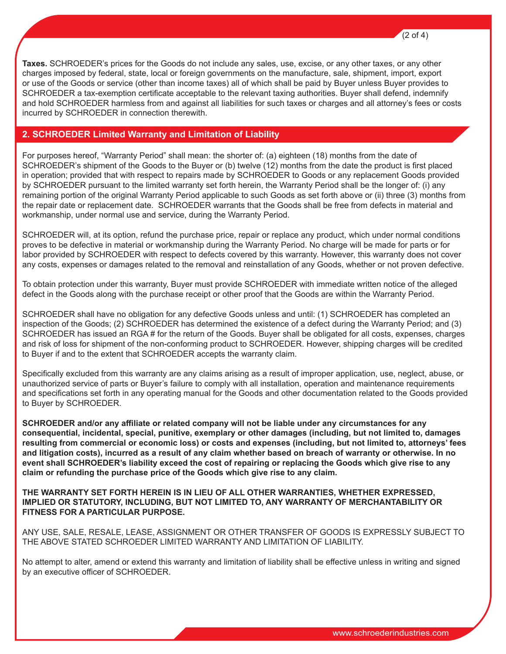**Taxes.** SCHROEDER's prices for the Goods do not include any sales, use, excise, or any other taxes, or any other charges imposed by federal, state, local or foreign governments on the manufacture, sale, shipment, import, export or use of the Goods or service (other than income taxes) all of which shall be paid by Buyer unless Buyer provides to SCHROEDER a tax-exemption certificate acceptable to the relevant taxing authorities. Buyer shall defend, indemnify and hold SCHROEDER harmless from and against all liabilities for such taxes or charges and all attorney's fees or costs incurred by SCHROEDER in connection therewith.

#### **2. SCHROEDER Limited Warranty and Limitation of Liability**

For purposes hereof, "Warranty Period" shall mean: the shorter of: (a) eighteen (18) months from the date of SCHROEDER's shipment of the Goods to the Buyer or (b) twelve (12) months from the date the product is first placed in operation; provided that with respect to repairs made by SCHROEDER to Goods or any replacement Goods provided by SCHROEDER pursuant to the limited warranty set forth herein, the Warranty Period shall be the longer of: (i) any remaining portion of the original Warranty Period applicable to such Goods as set forth above or (ii) three (3) months from the repair date or replacement date. SCHROEDER warrants that the Goods shall be free from defects in material and workmanship, under normal use and service, during the Warranty Period.

SCHROEDER will, at its option, refund the purchase price, repair or replace any product, which under normal conditions proves to be defective in material or workmanship during the Warranty Period. No charge will be made for parts or for labor provided by SCHROEDER with respect to defects covered by this warranty. However, this warranty does not cover any costs, expenses or damages related to the removal and reinstallation of any Goods, whether or not proven defective.

To obtain protection under this warranty, Buyer must provide SCHROEDER with immediate written notice of the alleged defect in the Goods along with the purchase receipt or other proof that the Goods are within the Warranty Period.

SCHROEDER shall have no obligation for any defective Goods unless and until: (1) SCHROEDER has completed an inspection of the Goods; (2) SCHROEDER has determined the existence of a defect during the Warranty Period; and (3) SCHROEDER has issued an RGA # for the return of the Goods. Buyer shall be obligated for all costs, expenses, charges and risk of loss for shipment of the non-conforming product to SCHROEDER. However, shipping charges will be credited to Buyer if and to the extent that SCHROEDER accepts the warranty claim.

Specifically excluded from this warranty are any claims arising as a result of improper application, use, neglect, abuse, or unauthorized service of parts or Buyer's failure to comply with all installation, operation and maintenance requirements and specifications set forth in any operating manual for the Goods and other documentation related to the Goods provided to Buyer by SCHROEDER.

**SCHROEDER and/or any affiliate or related company will not be liable under any circumstances for any consequential, incidental, special, punitive, exemplary or other damages (including, but not limited to, damages resulting from commercial or economic loss) or costs and expenses (including, but not limited to, attorneys' fees and litigation costs), incurred as a result of any claim whether based on breach of warranty or otherwise. In no event shall SCHROEDER's liability exceed the cost of repairing or replacing the Goods which give rise to any claim or refunding the purchase price of the Goods which give rise to any claim.**

**THE WARRANTY SET FORTH HEREIN IS IN LIEU OF ALL OTHER WARRANTIES, WHETHER EXPRESSED, IMPLIED OR STATUTORY, INCLUDING, BUT NOT LIMITED TO, ANY WARRANTY OF MERCHANTABILITY OR FITNESS FOR A PARTICULAR PURPOSE.**

ANY USE, SALE, RESALE, LEASE, ASSIGNMENT OR OTHER TRANSFER OF GOODS IS EXPRESSLY SUBJECT TO THE ABOVE STATED SCHROEDER LIMITED WARRANTY AND LIMITATION OF LIABILITY.

No attempt to alter, amend or extend this warranty and limitation of liability shall be effective unless in writing and signed by an executive officer of SCHROEDER.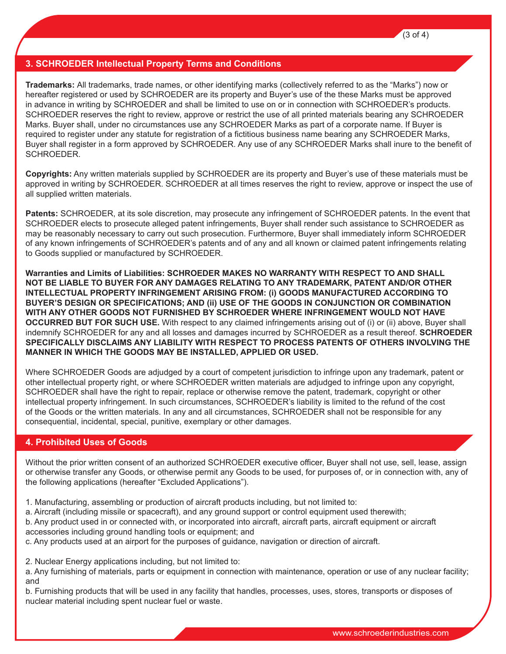## **3. SCHROEDER Intellectual Property Terms and Conditions**

**Trademarks:** All trademarks, trade names, or other identifying marks (collectively referred to as the "Marks") now or hereafter registered or used by SCHROEDER are its property and Buyer's use of the these Marks must be approved in advance in writing by SCHROEDER and shall be limited to use on or in connection with SCHROEDER's products. SCHROEDER reserves the right to review, approve or restrict the use of all printed materials bearing any SCHROEDER Marks. Buyer shall, under no circumstances use any SCHROEDER Marks as part of a corporate name. If Buyer is required to register under any statute for registration of a fictitious business name bearing any SCHROEDER Marks, Buyer shall register in a form approved by SCHROEDER. Any use of any SCHROEDER Marks shall inure to the benefit of SCHROEDER.

**Copyrights:** Any written materials supplied by SCHROEDER are its property and Buyer's use of these materials must be approved in writing by SCHROEDER. SCHROEDER at all times reserves the right to review, approve or inspect the use of all supplied written materials.

**Patents:** SCHROEDER, at its sole discretion, may prosecute any infringement of SCHROEDER patents. In the event that SCHROEDER elects to prosecute alleged patent infringements, Buyer shall render such assistance to SCHROEDER as may be reasonably necessary to carry out such prosecution. Furthermore, Buyer shall immediately inform SCHROEDER of any known infringements of SCHROEDER's patents and of any and all known or claimed patent infringements relating to Goods supplied or manufactured by SCHROEDER.

**Warranties and Limits of Liabilities: SCHROEDER MAKES NO WARRANTY WITH RESPECT TO AND SHALL NOT BE LIABLE TO BUYER FOR ANY DAMAGES RELATING TO ANY TRADEMARK, PATENT AND/OR OTHER INTELLECTUAL PROPERTY INFRINGEMENT ARISING FROM: (i) GOODS MANUFACTURED ACCORDING TO BUYER'S DESIGN OR SPECIFICATIONS; AND (ii) USE OF THE GOODS IN CONJUNCTION OR COMBINATION WITH ANY OTHER GOODS NOT FURNISHED BY SCHROEDER WHERE INFRINGEMENT WOULD NOT HAVE OCCURRED BUT FOR SUCH USE.** With respect to any claimed infringements arising out of (i) or (ii) above, Buyer shall indemnify SCHROEDER for any and all losses and damages incurred by SCHROEDER as a result thereof. **SCHROEDER SPECIFICALLY DISCLAIMS ANY LIABILITY WITH RESPECT TO PROCESS PATENTS OF OTHERS INVOLVING THE MANNER IN WHICH THE GOODS MAY BE INSTALLED, APPLIED OR USED.**

Where SCHROEDER Goods are adjudged by a court of competent jurisdiction to infringe upon any trademark, patent or other intellectual property right, or where SCHROEDER written materials are adjudged to infringe upon any copyright, SCHROEDER shall have the right to repair, replace or otherwise remove the patent, trademark, copyright or other intellectual property infringement. In such circumstances, SCHROEDER's liability is limited to the refund of the cost of the Goods or the written materials. In any and all circumstances, SCHROEDER shall not be responsible for any consequential, incidental, special, punitive, exemplary or other damages.

## **4. Prohibited Uses of Goods**

Without the prior written consent of an authorized SCHROEDER executive officer, Buyer shall not use, sell, lease, assign or otherwise transfer any Goods, or otherwise permit any Goods to be used, for purposes of, or in connection with, any of the following applications (hereafter "Excluded Applications").

1. Manufacturing, assembling or production of aircraft products including, but not limited to:

a. Aircraft (including missile or spacecraft), and any ground support or control equipment used therewith;

b. Any product used in or connected with, or incorporated into aircraft, aircraft parts, aircraft equipment or aircraft accessories including ground handling tools or equipment; and

c. Any products used at an airport for the purposes of guidance, navigation or direction of aircraft.

2. Nuclear Energy applications including, but not limited to:

a. Any furnishing of materials, parts or equipment in connection with maintenance, operation or use of any nuclear facility; and

b. Furnishing products that will be used in any facility that handles, processes, uses, stores, transports or disposes of nuclear material including spent nuclear fuel or waste.